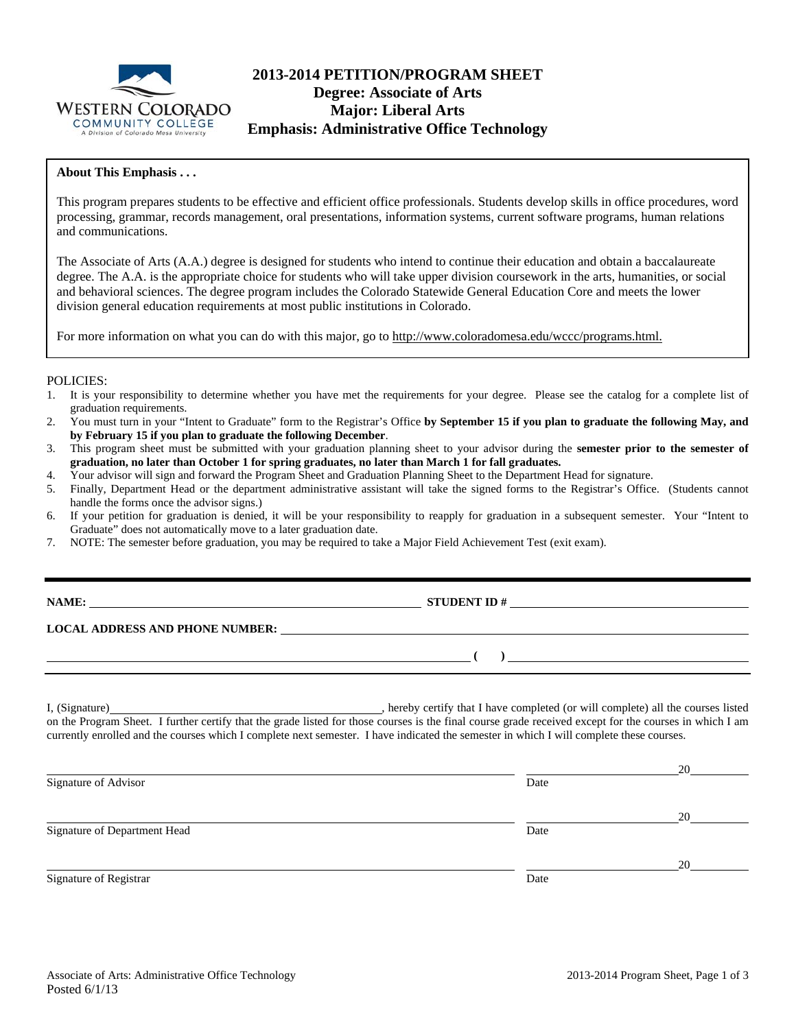

# **2013-2014 PETITION/PROGRAM SHEET Degree: Associate of Arts Major: Liberal Arts Emphasis: Administrative Office Technology**

### **About This Emphasis . . .**

This program prepares students to be effective and efficient office professionals. Students develop skills in office procedures, word processing, grammar, records management, oral presentations, information systems, current software programs, human relations and communications.

The Associate of Arts (A.A.) degree is designed for students who intend to continue their education and obtain a baccalaureate degree. The A.A. is the appropriate choice for students who will take upper division coursework in the arts, humanities, or social and behavioral sciences. The degree program includes the Colorado Statewide General Education Core and meets the lower division general education requirements at most public institutions in Colorado.

For more information on what you can do with this major, go to http://www.coloradomesa.edu/wccc/programs.html.

#### POLICIES:

- 1. It is your responsibility to determine whether you have met the requirements for your degree. Please see the catalog for a complete list of graduation requirements.
- 2. You must turn in your "Intent to Graduate" form to the Registrar's Office **by September 15 if you plan to graduate the following May, and by February 15 if you plan to graduate the following December**.
- 3. This program sheet must be submitted with your graduation planning sheet to your advisor during the **semester prior to the semester of graduation, no later than October 1 for spring graduates, no later than March 1 for fall graduates.**
- 4. Your advisor will sign and forward the Program Sheet and Graduation Planning Sheet to the Department Head for signature.
- 5. Finally, Department Head or the department administrative assistant will take the signed forms to the Registrar's Office. (Students cannot handle the forms once the advisor signs.)
- 6. If your petition for graduation is denied, it will be your responsibility to reapply for graduation in a subsequent semester. Your "Intent to Graduate" does not automatically move to a later graduation date.
- 7. NOTE: The semester before graduation, you may be required to take a Major Field Achievement Test (exit exam).

| NAME:                                  | <b>STUDENT ID#</b> |
|----------------------------------------|--------------------|
| <b>LOCAL ADDRESS AND PHONE NUMBER:</b> |                    |
|                                        |                    |
|                                        |                    |

I, (Signature) , hereby certify that I have completed (or will complete) all the courses listed on the Program Sheet. I further certify that the grade listed for those courses is the final course grade received except for the courses in which I am currently enrolled and the courses which I complete next semester. I have indicated the semester in which I will complete these courses.

|                              |      | 20 |
|------------------------------|------|----|
| Signature of Advisor         | Date |    |
|                              |      | 20 |
| Signature of Department Head | Date |    |
|                              |      | 20 |
| Signature of Registrar       | Date |    |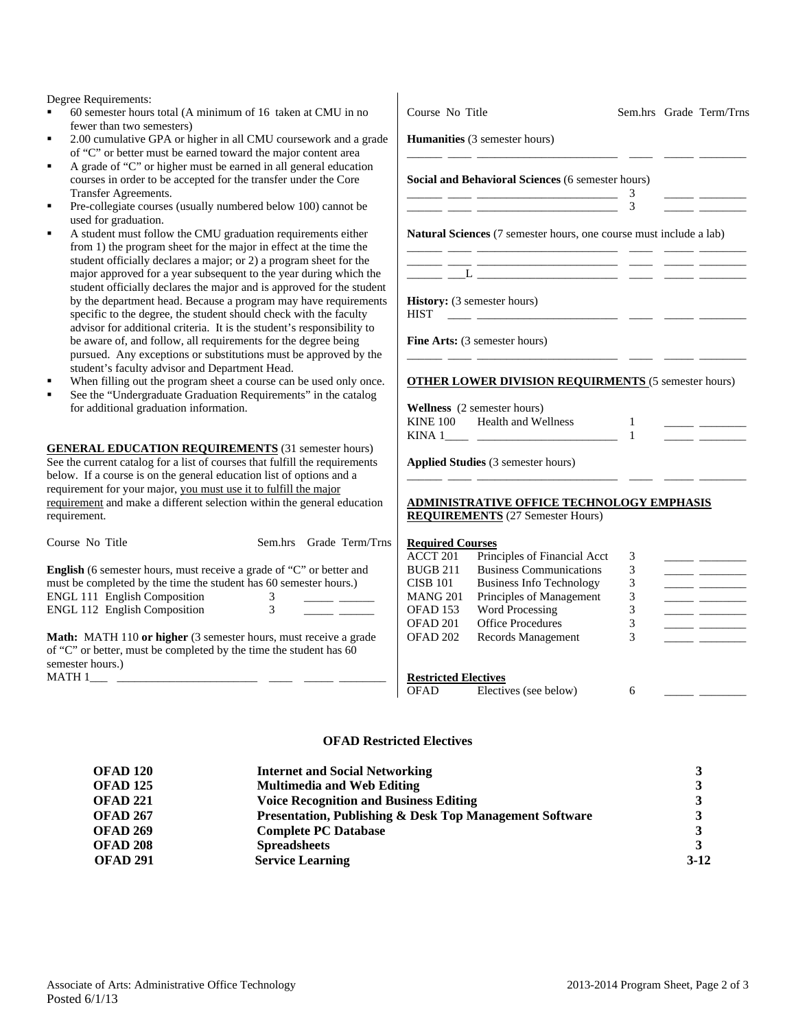Degree Requirements:

- 60 semester hours total  $(A$  minimum of  $16$  taken at fewer than two semesters)
- 2.00 cumulative GPA or higher in all CMU coursework. of "C" or better must be earned toward the major content
- A grade of "C" or higher must be earned in all general courses in order to be accepted for the transfer under Transfer Agreements.
- Pre-collegiate courses (usually numbered below 100) used for graduation.
- A student must follow the CMU graduation requirem from  $1$ ) the program sheet for the major in effect at the the t student officially declares a major; or  $2$ ) a program sh major approved for a year subsequent to the year during student officially declares the major and is approved by the department head. Because a program may hav specific to the degree, the student should check with advisor for additional criteria. It is the student's resp be aware of, and follow, all requirements for the degi pursued. Any exceptions or substitutions must be ap student's faculty advisor and Department Head.
- When filling out the program sheet a course can be u
- See the "Undergraduate Graduation Requirements" in for additional graduation information.

**GENERAL EDUCATION REQUIREMENTS** (31 sem See the current catalog for a list of courses that fulfill the below. If a course is on the general education list of optio requirement for your major, you must use it to fulfill the n requirement and make a different selection within the gene requirement.

| Course No Title                                                                                                                                                   |        |  | Sem.hrs Grade Term/Trns |  |  |  |
|-------------------------------------------------------------------------------------------------------------------------------------------------------------------|--------|--|-------------------------|--|--|--|
| <b>English</b> (6 semester hours, must receive a grade of "C" or better and<br>must be completed by the time the student has 60 semester hours.)                  |        |  |                         |  |  |  |
| <b>ENGL 111 English Composition</b><br><b>ENGL 112 English Composition</b>                                                                                        | 3<br>3 |  |                         |  |  |  |
| <b>Math:</b> MATH 110 or higher (3 semester hours, must receive a grade<br>of "C" or better, must be completed by the time the student has 60<br>semester hours.) |        |  |                         |  |  |  |

 $MATH 1$ <sub>\_\_\_\_</sub> \_\_

| CMU in no                                                                                                             | Course No Title             |                                                                                             |                              |                        | Sem.hrs Grade Term/Trns                            |
|-----------------------------------------------------------------------------------------------------------------------|-----------------------------|---------------------------------------------------------------------------------------------|------------------------------|------------------------|----------------------------------------------------|
| ork and a grade<br>ntent area                                                                                         |                             | <b>Humanities</b> (3 semester hours)                                                        |                              |                        |                                                    |
| al education<br>the Core                                                                                              |                             | Social and Behavioral Sciences (6 semester hours)                                           | 3                            |                        |                                                    |
| ) cannot be                                                                                                           |                             |                                                                                             | 3                            | and the company of the |                                                    |
| nents either<br>he time the<br>heet for the<br>ing which the                                                          |                             | <b>Natural Sciences</b> (7 semester hours, one course must include a lab)                   |                              |                        |                                                    |
| for the student<br>e requirements<br>the faculty                                                                      | HIST                        | <b>History:</b> (3 semester hours)                                                          |                              |                        |                                                    |
| ponsibility to<br>ree being<br>proved by the                                                                          |                             | <b>Fine Arts:</b> (3 semester hours)                                                        |                              |                        |                                                    |
| used only once.<br>in the catalog                                                                                     |                             | <b>OTHER LOWER DIVISION REQUIRMENTS (5 semester hours)</b><br>Wellness (2 semester hours)   |                              |                        |                                                    |
|                                                                                                                       |                             | KINE 100 Health and Wellness                                                                | $\mathbf{1}$<br>$\mathbf{1}$ |                        | <u> 1989 - Johann Barnett, francuski politik (</u> |
| ester hours)<br>requirements<br>ons and a                                                                             |                             | Applied Studies (3 semester hours)                                                          |                              |                        |                                                    |
| najor<br>eral education                                                                                               |                             | <b>ADMINISTRATIVE OFFICE TECHNOLOGY EMPHASIS</b><br><b>REQUIREMENTS</b> (27 Semester Hours) |                              |                        |                                                    |
| rade Term/Trns                                                                                                        | <b>Required Courses</b>     |                                                                                             |                              |                        |                                                    |
|                                                                                                                       | <b>ACCT 201</b>             | Principles of Financial Acct                                                                | 3                            |                        |                                                    |
| r better and                                                                                                          | <b>BUGB 211</b>             | <b>Business Communications</b>                                                              | 3                            |                        |                                                    |
| er hours.)                                                                                                            | <b>CISB 101</b>             | <b>Business Info Technology</b>                                                             | 3                            |                        |                                                    |
|                                                                                                                       | <b>MANG 201</b>             | Principles of Management                                                                    | 3                            |                        |                                                    |
| <u> a serie de la construcción de la construcción de la construcción de la construcción de la construcción de la </u> | OFAD 153                    | Word Processing                                                                             | $\mathfrak{Z}$               |                        |                                                    |
|                                                                                                                       | OFAD 201                    | Office Procedures                                                                           | 3                            |                        | $\overline{\phantom{a}}$                           |
| ceive a grade<br>nt has 60                                                                                            | OFAD 202                    | Records Management                                                                          | 3                            |                        |                                                    |
|                                                                                                                       | <b>Restricted Electives</b> |                                                                                             |                              |                        |                                                    |
|                                                                                                                       | <b>OFAD</b>                 | Electives (see below)                                                                       | 6                            |                        |                                                    |

#### **OFAD Restricted Electives**

| <b>OFAD 120</b> | <b>Internet and Social Networking</b>                              |        |
|-----------------|--------------------------------------------------------------------|--------|
| <b>OFAD 125</b> | <b>Multimedia and Web Editing</b>                                  |        |
| <b>OFAD 221</b> | <b>Voice Recognition and Business Editing</b>                      |        |
| <b>OFAD 267</b> | <b>Presentation, Publishing &amp; Desk Top Management Software</b> |        |
| <b>OFAD 269</b> | <b>Complete PC Database</b>                                        |        |
| <b>OFAD 208</b> | <b>Spreadsheets</b>                                                |        |
| <b>OFAD 291</b> | <b>Service Learning</b>                                            | $3-12$ |